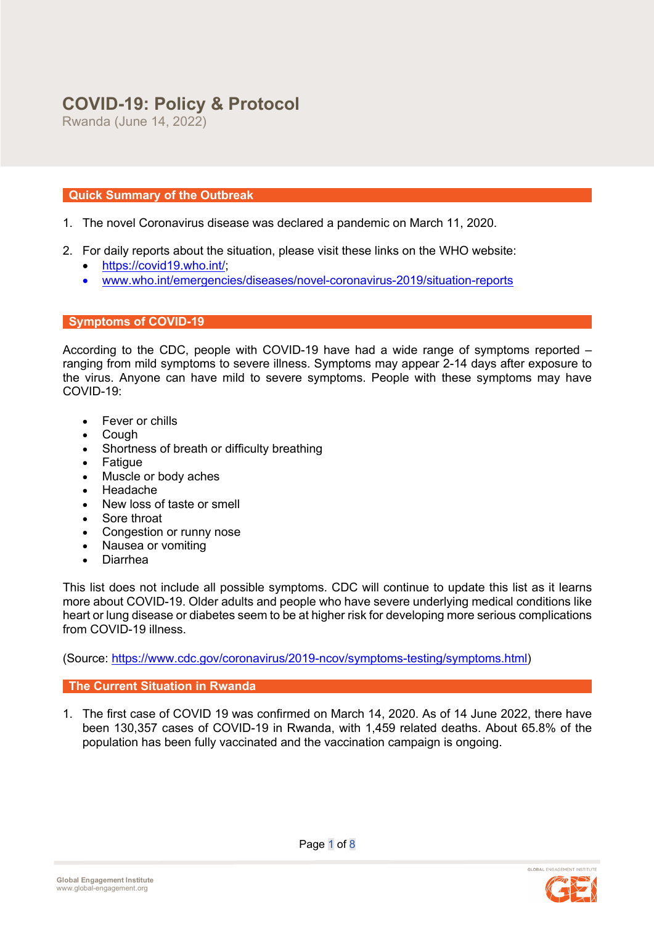# **COVID-19: Policy & Protocol**

Rwanda (June 14, 2022)

# **Quick Summary of the Outbreak**

- 1. The novel Coronavirus disease was declared a pandemic on March 11, 2020.
- 2. For daily reports about the situation, please visit these links on the WHO website:
	- https://covid19.who.int/;
	- www.who.int/emergencies/diseases/novel-coronavirus-2019/situation-reports

# **Symptoms of COVID-19**

According to the CDC, people with COVID-19 have had a wide range of symptoms reported – ranging from mild symptoms to severe illness. Symptoms may appear 2-14 days after exposure to the virus. Anyone can have mild to severe symptoms. People with these symptoms may have COVID-19:

- Fever or chills
- Cough
- Shortness of breath or difficulty breathing
- Fatigue
- Muscle or body aches
- Headache
- New loss of taste or smell
- Sore throat
- Congestion or runny nose
- Nausea or vomiting
- Diarrhea

This list does not include all possible symptoms. CDC will continue to update this list as it learns more about COVID-19. Older adults and people who have severe underlying medical conditions like heart or lung disease or diabetes seem to be at higher risk for developing more serious complications from COVID-19 illness.

(Source: https://www.cdc.gov/coronavirus/2019-ncov/symptoms-testing/symptoms.html)

# **The Current Situation in Rwanda**

1. The first case of COVID 19 was confirmed on March 14, 2020. As of 14 June 2022, there have been 130,357 cases of COVID-19 in Rwanda, with 1,459 related deaths. About 65.8% of the population has been fully vaccinated and the vaccination campaign is ongoing.

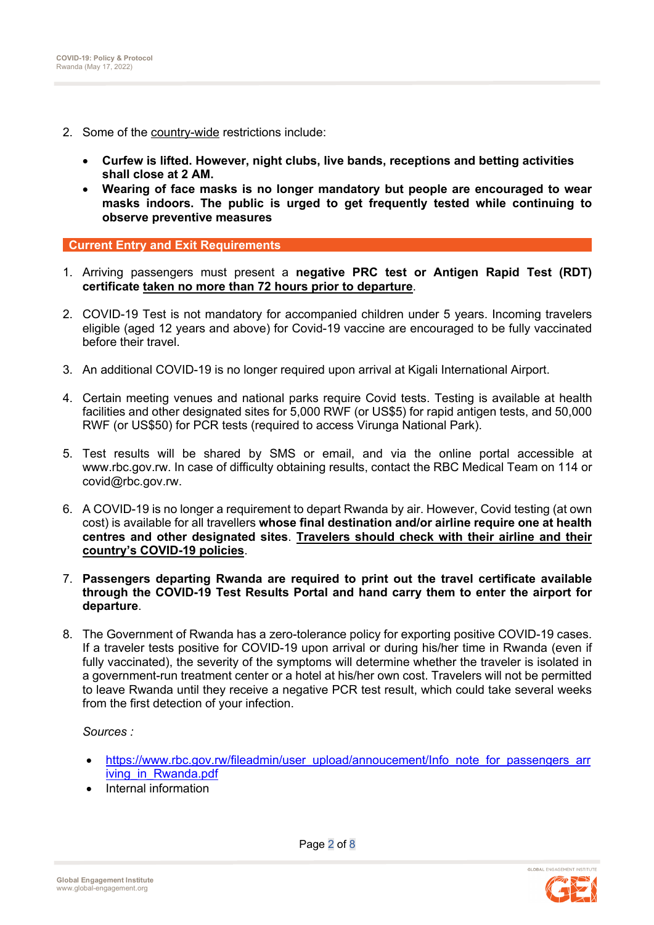- 2. Some of the country-wide restrictions include:
	- **Curfew is lifted. However, night clubs, live bands, receptions and betting activities shall close at 2 AM.**
	- **Wearing of face masks is no longer mandatory but people are encouraged to wear masks indoors. The public is urged to get frequently tested while continuing to observe preventive measures**

**Current Entry and Exit Requirements** 

- 1. Arriving passengers must present a **negative PRC test or Antigen Rapid Test (RDT) certificate taken no more than 72 hours prior to departure**.
- 2. COVID-19 Test is not mandatory for accompanied children under 5 years. Incoming travelers eligible (aged 12 years and above) for Covid-19 vaccine are encouraged to be fully vaccinated before their travel.
- 3. An additional COVID-19 is no longer required upon arrival at Kigali International Airport.
- 4. Certain meeting venues and national parks require Covid tests. Testing is available at health facilities and other designated sites for 5,000 RWF (or US\$5) for rapid antigen tests, and 50,000 RWF (or US\$50) for PCR tests (required to access Virunga National Park).
- 5. Test results will be shared by SMS or email, and via the online portal accessible at www.rbc.gov.rw. In case of difficulty obtaining results, contact the RBC Medical Team on 114 or covid@rbc.gov.rw.
- 6. A COVID-19 is no longer a requirement to depart Rwanda by air. However, Covid testing (at own cost) is available for all travellers **whose final destination and/or airline require one at health centres and other designated sites**. **Travelers should check with their airline and their country's COVID-19 policies**.
- 7. **Passengers departing Rwanda are required to print out the travel certificate available through the COVID-19 Test Results Portal and hand carry them to enter the airport for departure**.
- 8. The Government of Rwanda has a zero-tolerance policy for exporting positive COVID-19 cases. If a traveler tests positive for COVID-19 upon arrival or during his/her time in Rwanda (even if fully vaccinated), the severity of the symptoms will determine whether the traveler is isolated in a government-run treatment center or a hotel at his/her own cost. Travelers will not be permitted to leave Rwanda until they receive a negative PCR test result, which could take several weeks from the first detection of your infection.

*Sources :*

- https://www.rbc.gov.rw/fileadmin/user\_upload/annoucement/Info\_note\_for\_passengers\_arr iving in Rwanda.pdf
- Internal information

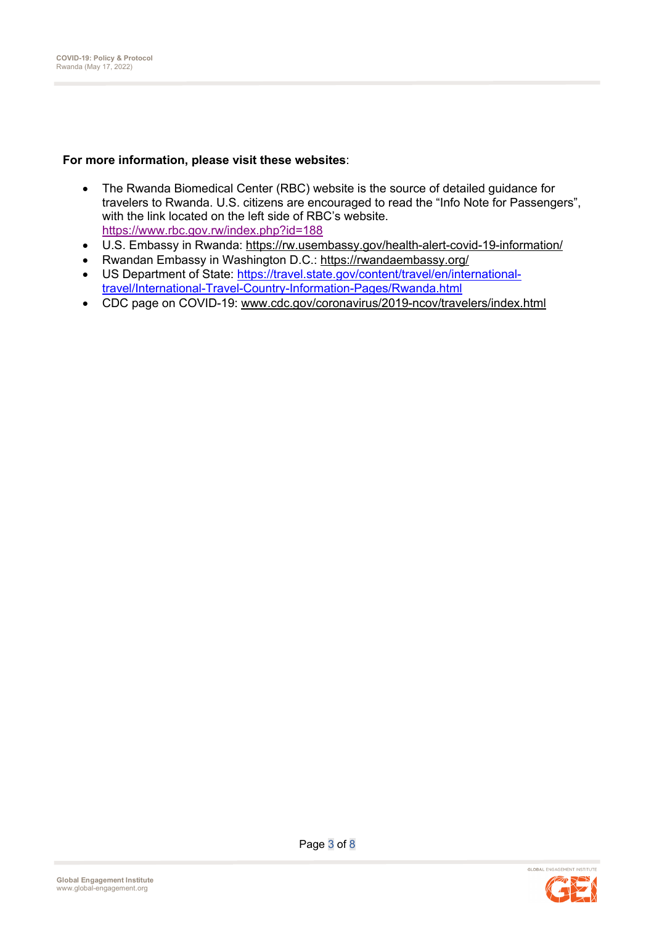# **For more information, please visit these websites**:

- The Rwanda Biomedical Center (RBC) website is the source of detailed guidance for travelers to Rwanda. U.S. citizens are encouraged to read the "Info Note for Passengers", with the link located on the left side of RBC's website. https://www.rbc.gov.rw/index.php?id=188
- U.S. Embassy in Rwanda: https://rw.usembassy.gov/health-alert-covid-19-information/
- Rwandan Embassy in Washington D.C.: https://rwandaembassy.org/
- US Department of State: https://travel.state.gov/content/travel/en/internationaltravel/International-Travel-Country-Information-Pages/Rwanda.html
- CDC page on COVID-19: www.cdc.gov/coronavirus/2019-ncov/travelers/index.html

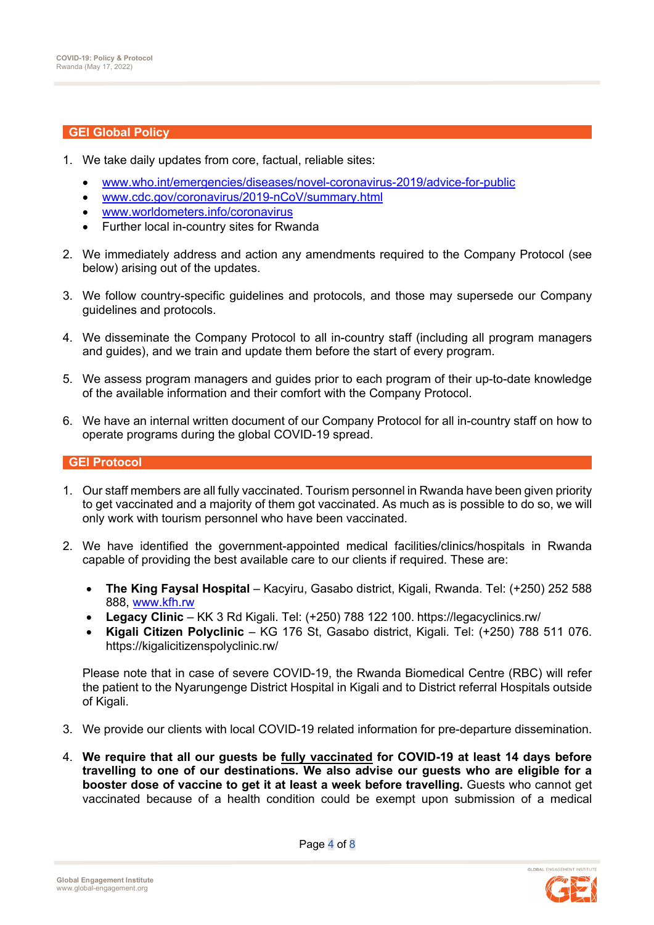#### **GEI Global Policy**

- 1. We take daily updates from core, factual, reliable sites:
	- www.who.int/emergencies/diseases/novel-coronavirus-2019/advice-for-public
	- www.cdc.gov/coronavirus/2019-nCoV/summary.html
	- www.worldometers.info/coronavirus
	- Further local in-country sites for Rwanda
- 2. We immediately address and action any amendments required to the Company Protocol (see below) arising out of the updates.
- 3. We follow country-specific guidelines and protocols, and those may supersede our Company guidelines and protocols.
- 4. We disseminate the Company Protocol to all in-country staff (including all program managers and guides), and we train and update them before the start of every program.
- 5. We assess program managers and guides prior to each program of their up-to-date knowledge of the available information and their comfort with the Company Protocol.
- 6. We have an internal written document of our Company Protocol for all in-country staff on how to operate programs during the global COVID-19 spread.

## **GEI Protocol**

- 1. Our staff members are all fully vaccinated. Tourism personnel in Rwanda have been given priority to get vaccinated and a majority of them got vaccinated. As much as is possible to do so, we will only work with tourism personnel who have been vaccinated.
- 2. We have identified the government-appointed medical facilities/clinics/hospitals in Rwanda capable of providing the best available care to our clients if required. These are:
	- **The King Faysal Hospital** Kacyiru, Gasabo district, Kigali, Rwanda. Tel: (+250) 252 588 888, www.kfh.rw
	- **Legacy Clinic** KK 3 Rd Kigali. Tel: (+250) 788 122 100. https://legacyclinics.rw/
	- **Kigali Citizen Polyclinic** KG 176 St, Gasabo district, Kigali. Tel: (+250) 788 511 076. https://kigalicitizenspolyclinic.rw/

Please note that in case of severe COVID-19, the Rwanda Biomedical Centre (RBC) will refer the patient to the Nyarungenge District Hospital in Kigali and to District referral Hospitals outside of Kigali.

- 3. We provide our clients with local COVID-19 related information for pre-departure dissemination.
- 4. **We require that all our guests be fully vaccinated for COVID-19 at least 14 days before travelling to one of our destinations. We also advise our guests who are eligible for a booster dose of vaccine to get it at least a week before travelling.** Guests who cannot get vaccinated because of a health condition could be exempt upon submission of a medical



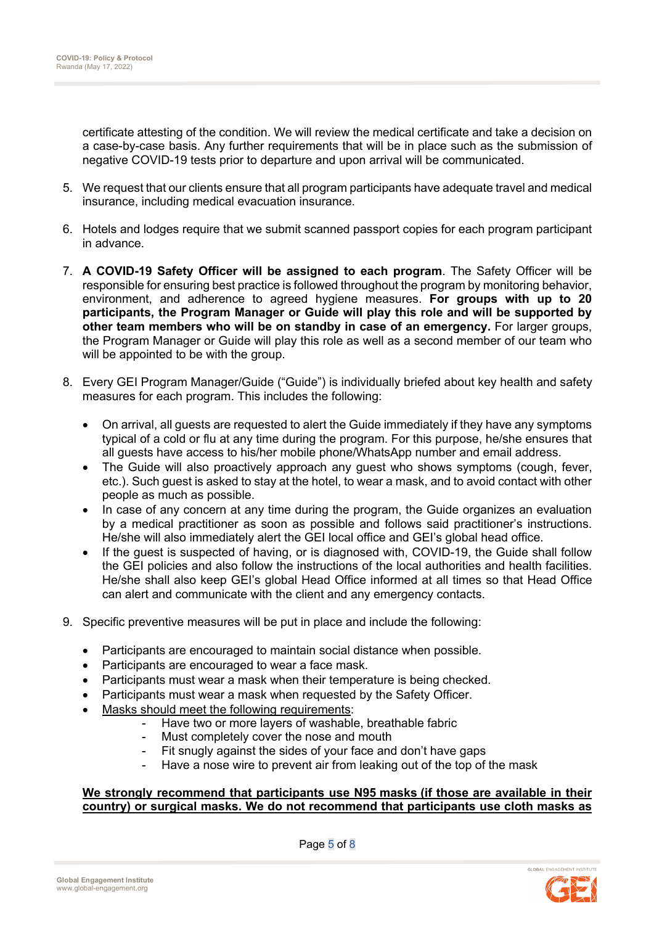certificate attesting of the condition. We will review the medical certificate and take a decision on a case-by-case basis. Any further requirements that will be in place such as the submission of negative COVID-19 tests prior to departure and upon arrival will be communicated.

- 5. We request that our clients ensure that all program participants have adequate travel and medical insurance, including medical evacuation insurance.
- 6. Hotels and lodges require that we submit scanned passport copies for each program participant in advance.
- 7. **A COVID-19 Safety Officer will be assigned to each program**. The Safety Officer will be responsible for ensuring best practice is followed throughout the program by monitoring behavior, environment, and adherence to agreed hygiene measures. **For groups with up to 20 participants, the Program Manager or Guide will play this role and will be supported by other team members who will be on standby in case of an emergency.** For larger groups, the Program Manager or Guide will play this role as well as a second member of our team who will be appointed to be with the group.
- 8. Every GEI Program Manager/Guide ("Guide") is individually briefed about key health and safety measures for each program. This includes the following:
	- On arrival, all guests are requested to alert the Guide immediately if they have any symptoms typical of a cold or flu at any time during the program. For this purpose, he/she ensures that all guests have access to his/her mobile phone/WhatsApp number and email address.
	- The Guide will also proactively approach any guest who shows symptoms (cough, fever, etc.). Such guest is asked to stay at the hotel, to wear a mask, and to avoid contact with other people as much as possible.
	- In case of any concern at any time during the program, the Guide organizes an evaluation by a medical practitioner as soon as possible and follows said practitioner's instructions. He/she will also immediately alert the GEI local office and GEI's global head office.
	- If the quest is suspected of having, or is diagnosed with, COVID-19, the Guide shall follow the GEI policies and also follow the instructions of the local authorities and health facilities. He/she shall also keep GEI's global Head Office informed at all times so that Head Office can alert and communicate with the client and any emergency contacts.
- 9. Specific preventive measures will be put in place and include the following:
	- Participants are encouraged to maintain social distance when possible.
	- Participants are encouraged to wear a face mask.
	- Participants must wear a mask when their temperature is being checked.
	- Participants must wear a mask when requested by the Safety Officer.
	- Masks should meet the following requirements:
		- Have two or more layers of washable, breathable fabric
		- Must completely cover the nose and mouth
		- Fit snugly against the sides of your face and don't have gaps
		- Have a nose wire to prevent air from leaking out of the top of the mask

# **We strongly recommend that participants use N95 masks (if those are available in their country) or surgical masks. We do not recommend that participants use cloth masks as**

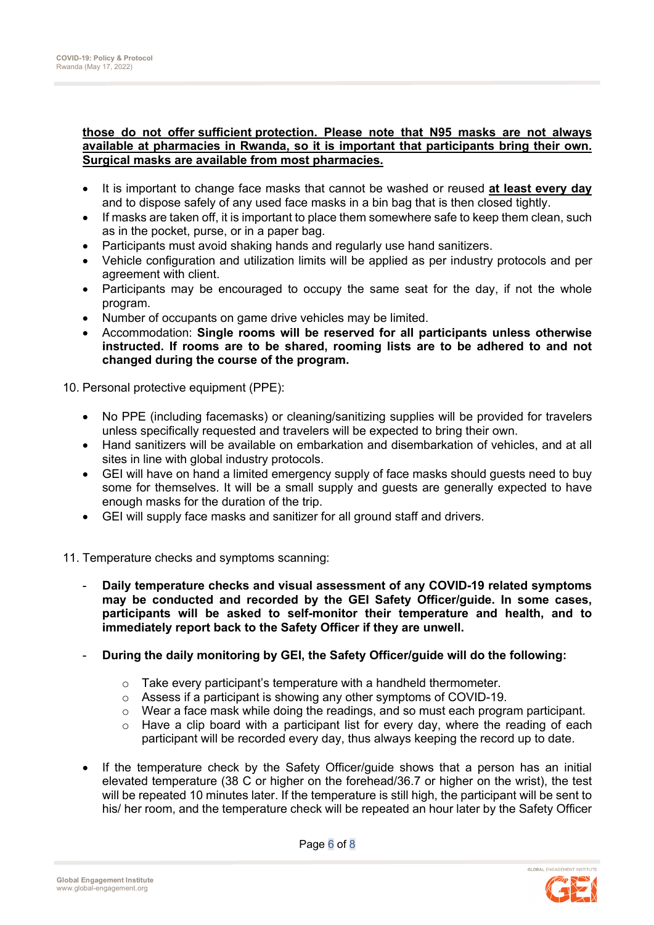### **those do not offer sufficient protection. Please note that N95 masks are not always available at pharmacies in Rwanda, so it is important that participants bring their own. Surgical masks are available from most pharmacies.**

- It is important to change face masks that cannot be washed or reused **at least every day** and to dispose safely of any used face masks in a bin bag that is then closed tightly.
- If masks are taken off, it is important to place them somewhere safe to keep them clean, such as in the pocket, purse, or in a paper bag.
- Participants must avoid shaking hands and regularly use hand sanitizers.
- Vehicle configuration and utilization limits will be applied as per industry protocols and per agreement with client.
- Participants may be encouraged to occupy the same seat for the day, if not the whole program.
- Number of occupants on game drive vehicles may be limited.
- Accommodation: **Single rooms will be reserved for all participants unless otherwise instructed. If rooms are to be shared, rooming lists are to be adhered to and not changed during the course of the program.**

10. Personal protective equipment (PPE):

- No PPE (including facemasks) or cleaning/sanitizing supplies will be provided for travelers unless specifically requested and travelers will be expected to bring their own.
- Hand sanitizers will be available on embarkation and disembarkation of vehicles, and at all sites in line with global industry protocols.
- GEI will have on hand a limited emergency supply of face masks should guests need to buy some for themselves. It will be a small supply and guests are generally expected to have enough masks for the duration of the trip.
- GEI will supply face masks and sanitizer for all ground staff and drivers.
- 11. Temperature checks and symptoms scanning:
	- **Daily temperature checks and visual assessment of any COVID-19 related symptoms may be conducted and recorded by the GEI Safety Officer/guide. In some cases, participants will be asked to self-monitor their temperature and health, and to immediately report back to the Safety Officer if they are unwell.**
	- **During the daily monitoring by GEI, the Safety Officer/guide will do the following:**
		- o Take every participant's temperature with a handheld thermometer.
		- o Assess if a participant is showing any other symptoms of COVID-19.
		- o Wear a face mask while doing the readings, and so must each program participant.
		- $\circ$  Have a clip board with a participant list for every day, where the reading of each participant will be recorded every day, thus always keeping the record up to date.
	- If the temperature check by the Safety Officer/guide shows that a person has an initial elevated temperature (38 C or higher on the forehead/36.7 or higher on the wrist), the test will be repeated 10 minutes later. If the temperature is still high, the participant will be sent to his/ her room, and the temperature check will be repeated an hour later by the Safety Officer

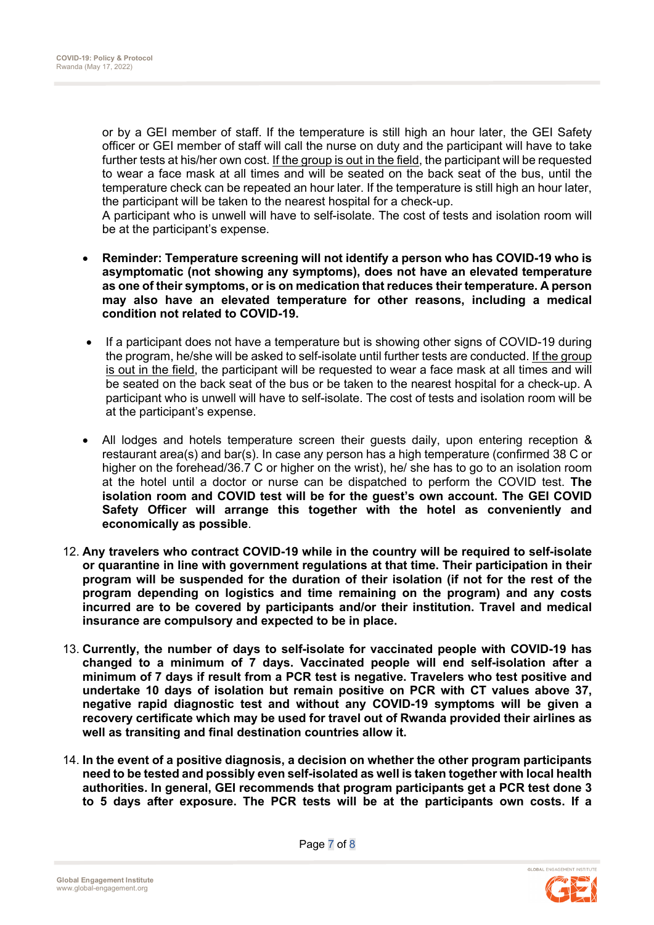or by a GEI member of staff. If the temperature is still high an hour later, the GEI Safety officer or GEI member of staff will call the nurse on duty and the participant will have to take further tests at his/her own cost. If the group is out in the field, the participant will be requested to wear a face mask at all times and will be seated on the back seat of the bus, until the temperature check can be repeated an hour later. If the temperature is still high an hour later, the participant will be taken to the nearest hospital for a check-up.

A participant who is unwell will have to self-isolate. The cost of tests and isolation room will be at the participant's expense.

- **Reminder: Temperature screening will not identify a person who has COVID-19 who is asymptomatic (not showing any symptoms), does not have an elevated temperature as one of their symptoms, or is on medication that reduces their temperature. A person may also have an elevated temperature for other reasons, including a medical condition not related to COVID-19.**
- If a participant does not have a temperature but is showing other signs of COVID-19 during the program, he/she will be asked to self-isolate until further tests are conducted. If the group is out in the field, the participant will be requested to wear a face mask at all times and will be seated on the back seat of the bus or be taken to the nearest hospital for a check-up. A participant who is unwell will have to self-isolate. The cost of tests and isolation room will be at the participant's expense.
- All lodges and hotels temperature screen their guests daily, upon entering reception & restaurant area(s) and bar(s). In case any person has a high temperature (confirmed 38 C or higher on the forehead/36.7 C or higher on the wrist), he/ she has to go to an isolation room at the hotel until a doctor or nurse can be dispatched to perform the COVID test. **The isolation room and COVID test will be for the guest's own account. The GEI COVID Safety Officer will arrange this together with the hotel as conveniently and economically as possible**.
- 12. **Any travelers who contract COVID-19 while in the country will be required to self-isolate or quarantine in line with government regulations at that time. Their participation in their program will be suspended for the duration of their isolation (if not for the rest of the program depending on logistics and time remaining on the program) and any costs incurred are to be covered by participants and/or their institution. Travel and medical insurance are compulsory and expected to be in place.**
- 13. **Currently, the number of days to self-isolate for vaccinated people with COVID-19 has changed to a minimum of 7 days. Vaccinated people will end self-isolation after a minimum of 7 days if result from a PCR test is negative. Travelers who test positive and undertake 10 days of isolation but remain positive on PCR with CT values above 37, negative rapid diagnostic test and without any COVID-19 symptoms will be given a recovery certificate which may be used for travel out of Rwanda provided their airlines as well as transiting and final destination countries allow it.**
- 14. **In the event of a positive diagnosis, a decision on whether the other program participants need to be tested and possibly even self-isolated as well is taken together with local health authorities. In general, GEI recommends that program participants get a PCR test done 3 to 5 days after exposure. The PCR tests will be at the participants own costs. If a**